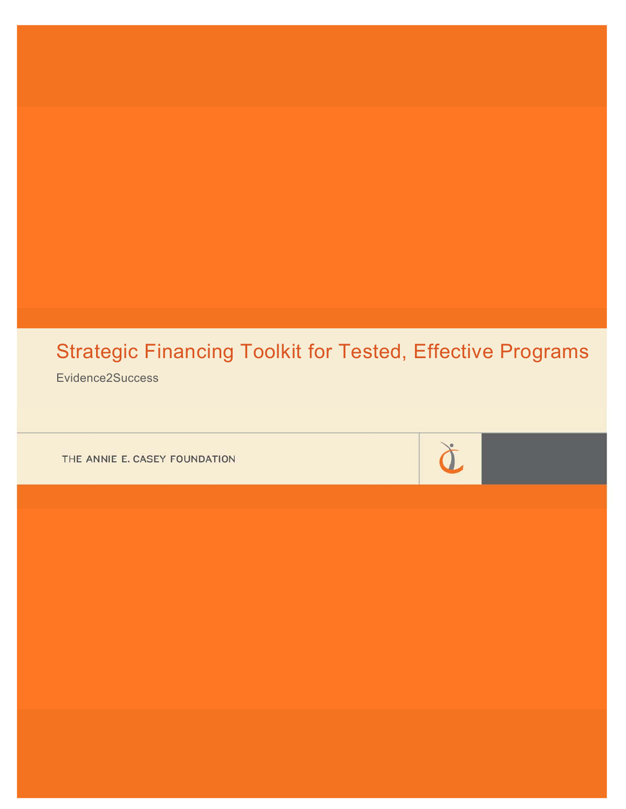# Strategic Financing Toolkit for Tested, Effective Programs

Evidence2Success

THE ANNIE E. CASEY FOUNDATION

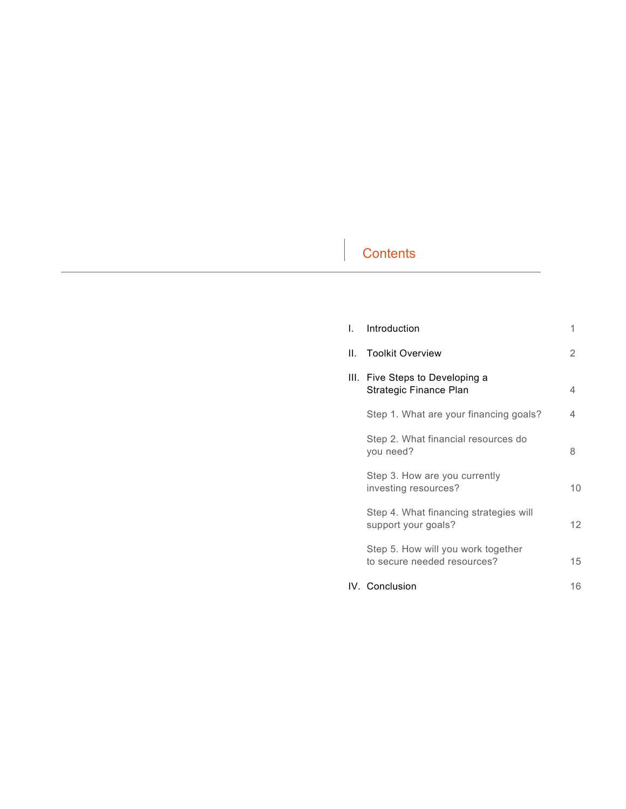# **Contents**

| L | Introduction                                                      | 1               |
|---|-------------------------------------------------------------------|-----------------|
|   | II. Toolkit Overview                                              | 2               |
|   | III. Five Steps to Developing a<br>Strategic Finance Plan         | 4               |
|   | Step 1. What are your financing goals?                            | 4               |
|   | Step 2. What financial resources do<br>you need?                  | 8               |
|   | Step 3. How are you currently<br>investing resources?             | 10              |
|   | Step 4. What financing strategies will<br>support your goals?     | 12 <sup>2</sup> |
|   | Step 5. How will you work together<br>to secure needed resources? | 15              |
|   | IV. Conclusion                                                    | 16              |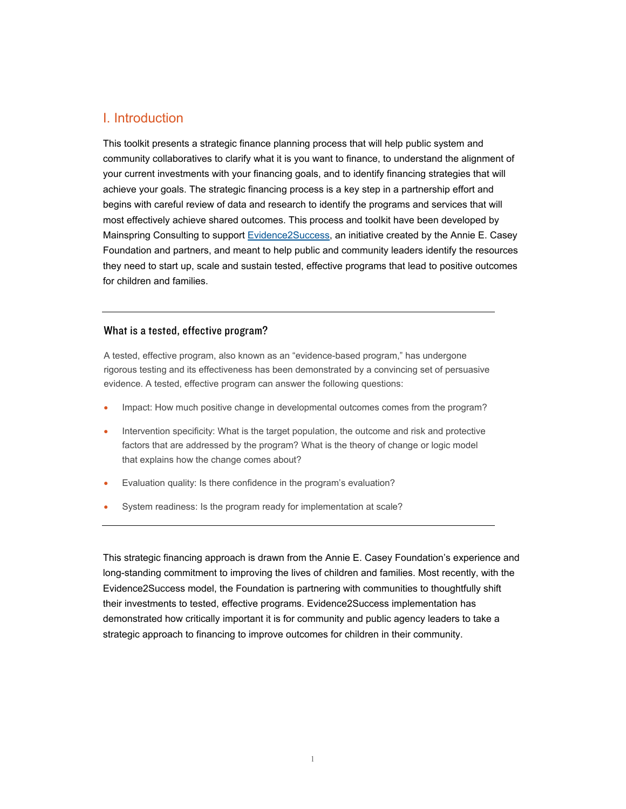# I. Introduction

This toolkit presents a strategic finance planning process that will help public system and community collaboratives to clarify what it is you want to finance, to understand the alignment of your current investments with your financing goals, and to identify financing strategies that will achieve your goals. The strategic financing process is a key step in a partnership effort and begins with careful review of data and research to identify the programs and services that will most effectively achieve shared outcomes. This process and toolkit have been developed by Mainspring Consulting to support [Evidence2Success](http://www.aecf.org/work/evidence-based-practice/evidence2success), an initiative created by the Annie E. Casey Foundation and partners, and meant to help public and community leaders identify the resources they need to start up, scale and sustain tested, effective programs that lead to positive outcomes for children and families.

#### What is a tested, effective program?

A tested, effective program, also known as an "evidence-based program," has undergone rigorous testing and its effectiveness has been demonstrated by a convincing set of persuasive evidence. A tested, effective program can answer the following questions:

- Impact: How much positive change in developmental outcomes comes from the program?
- Intervention specificity: What is the target population, the outcome and risk and protective factors that are addressed by the program? What is the theory of change or logic model that explains how the change comes about?
- Evaluation quality: Is there confidence in the program's evaluation?
- System readiness: Is the program ready for implementation at scale?

This strategic financing approach is drawn from the Annie E. Casey Foundation's experience and long-standing commitment to improving the lives of children and families. Most recently, with the Evidence2Success model, the Foundation is partnering with communities to thoughtfully shift their investments to tested, effective programs. Evidence2Success implementation has demonstrated how critically important it is for community and public agency leaders to take a strategic approach to financing to improve outcomes for children in their community.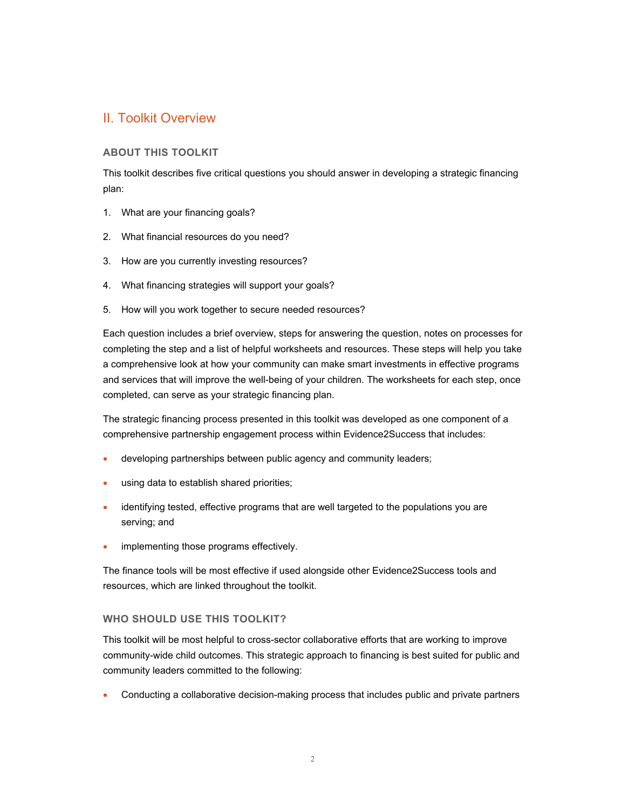# II. Toolkit Overview

#### **ABOUT THIS TOOLKIT**

This toolkit describes five critical questions you should answer in developing a strategic financing plan:

- 1. What are your financing goals?
- 2. What financial resources do you need?
- 3. How are you currently investing resources?
- 4. What financing strategies will support your goals?
- 5. How will you work together to secure needed resources?

Each question includes a brief overview, steps for answering the question, notes on processes for completing the step and a list of helpful worksheets and resources. These steps will help you take a comprehensive look at how your community can make smart investments in effective programs and services that will improve the well-being of your children. The worksheets for each step, once completed, can serve as your strategic financing plan.

The strategic financing process presented in this toolkit was developed as one component of a comprehensive partnership engagement process within Evidence2Success that includes:

- developing partnerships between public agency and community leaders;
- using data to establish shared priorities;
- identifying tested, effective programs that are well targeted to the populations you are serving; and
- implementing those programs effectively.

The finance tools will be most effective if used alongside other Evidence2Success tools and resources, which are linked throughout the toolkit.

#### **WHO SHOULD USE THIS TOOLKIT?**

This toolkit will be most helpful to cross-sector collaborative efforts that are working to improve community-wide child outcomes. This strategic approach to financing is best suited for public and community leaders committed to the following:

Conducting a collaborative decision-making process that includes public and private partners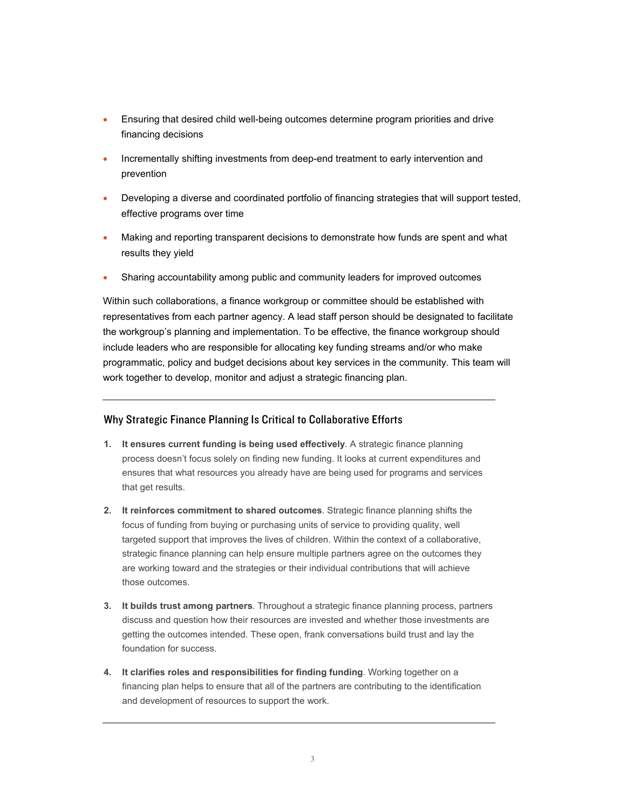- Ensuring that desired child well-being outcomes determine program priorities and drive financing decisions
- Incrementally shifting investments from deep-end treatment to early intervention and prevention
- Developing a diverse and coordinated portfolio of financing strategies that will support tested, effective programs over time
- Making and reporting transparent decisions to demonstrate how funds are spent and what results they yield
- Sharing accountability among public and community leaders for improved outcomes

Within such collaborations, a finance workgroup or committee should be established with representatives from each partner agency. A lead staff person should be designated to facilitate the workgroup's planning and implementation. To be effective, the finance workgroup should include leaders who are responsible for allocating key funding streams and/or who make programmatic, policy and budget decisions about key services in the community. This team will work together to develop, monitor and adjust a strategic financing plan.

#### Why Strategic Finance Planning Is Critical to Collaborative Efforts

- **1. It ensures current funding is being used effectively**. A strategic finance planning process doesn't focus solely on finding new funding. It looks at current expenditures and ensures that what resources you already have are being used for programs and services that get results.
- **2. It reinforces commitment to shared outcomes**. Strategic finance planning shifts the focus of funding from buying or purchasing units of service to providing quality, well targeted support that improves the lives of children. Within the context of a collaborative, strategic finance planning can help ensure multiple partners agree on the outcomes they are working toward and the strategies or their individual contributions that will achieve those outcomes.
- **3. It builds trust among partners**. Throughout a strategic finance planning process, partners discuss and question how their resources are invested and whether those investments are getting the outcomes intended. These open, frank conversations build trust and lay the foundation for success.
- **4. It clarifies roles and responsibilities for finding funding**. Working together on a financing plan helps to ensure that all of the partners are contributing to the identification and development of resources to support the work.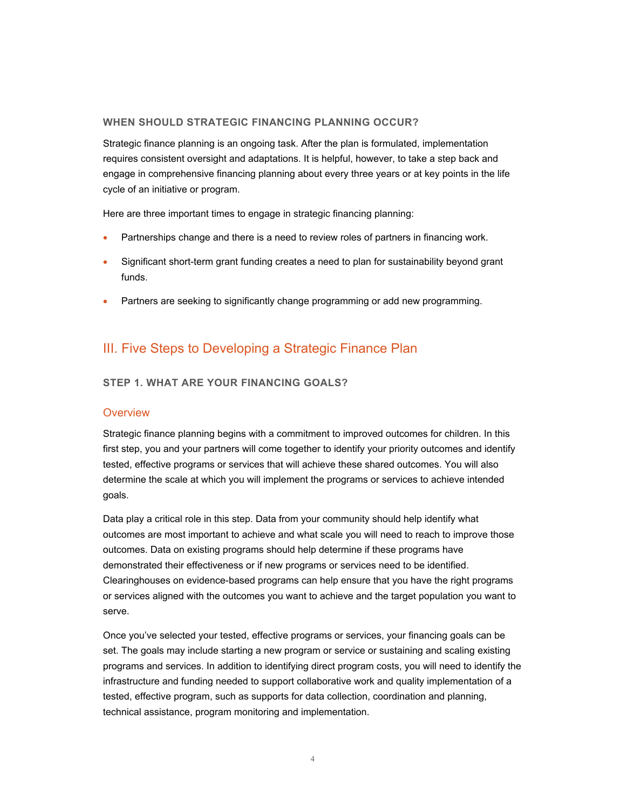#### **WHEN SHOULD STRATEGIC FINANCING PLANNING OCCUR?**

Strategic finance planning is an ongoing task. After the plan is formulated, implementation requires consistent oversight and adaptations. It is helpful, however, to take a step back and engage in comprehensive financing planning about every three years or at key points in the life cycle of an initiative or program.

Here are three important times to engage in strategic financing planning:

- Partnerships change and there is a need to review roles of partners in financing work.
- Significant short-term grant funding creates a need to plan for sustainability beyond grant funds.
- Partners are seeking to significantly change programming or add new programming.

# III. Five Steps to Developing a Strategic Finance Plan

#### **STEP 1. WHAT ARE YOUR FINANCING GOALS?**

#### **Overview**

Strategic finance planning begins with a commitment to improved outcomes for children. In this first step, you and your partners will come together to identify your priority outcomes and identify tested, effective programs or services that will achieve these shared outcomes. You will also determine the scale at which you will implement the programs or services to achieve intended goals.

Data play a critical role in this step. Data from your community should help identify what outcomes are most important to achieve and what scale you will need to reach to improve those outcomes. Data on existing programs should help determine if these programs have demonstrated their effectiveness or if new programs or services need to be identified. Clearinghouses on evidence-based programs can help ensure that you have the right programs or services aligned with the outcomes you want to achieve and the target population you want to serve.

Once you've selected your tested, effective programs or services, your financing goals can be set. The goals may include starting a new program or service or sustaining and scaling existing programs and services. In addition to identifying direct program costs, you will need to identify the infrastructure and funding needed to support collaborative work and quality implementation of a tested, effective program, such as supports for data collection, coordination and planning, technical assistance, program monitoring and implementation.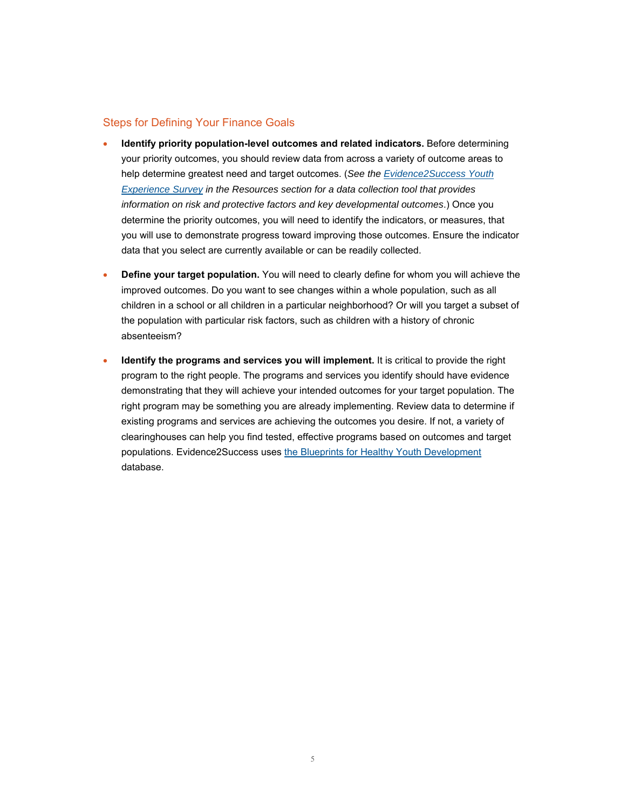#### Steps for Defining Your Finance Goals

- **Identify priority population-level outcomes and related indicators.** Before determining your priority outcomes, you should review data from across a variety of outcome areas to help determine greatest need and target outcomes. (*See the [Evidence2Success Youth](http://www.aecf.org/blog/evidence2success-surveys-track-child-development) [Experience Survey](http://www.aecf.org/blog/evidence2success-surveys-track-child-development) in the Resources section for a data collection tool that provides information on risk and protective factors and key developmental outcomes*.) Once you determine the priority outcomes, you will need to identify the indicators, or measures, that you will use to demonstrate progress toward improving those outcomes. Ensure the indicator data that you select are currently available or can be readily collected.
- **Define your target population.** You will need to clearly define for whom you will achieve the improved outcomes. Do you want to see changes within a whole population, such as all children in a school or all children in a particular neighborhood? Or will you target a subset of the population with particular risk factors, such as children with a history of chronic absenteeism?
- **Identify the programs and services you will implement.** It is critical to provide the right program to the right people. The programs and services you identify should have evidence demonstrating that they will achieve your intended outcomes for your target population. The right program may be something you are already implementing. Review data to determine if existing programs and services are achieving the outcomes you desire. If not, a variety of clearinghouses can help you find tested, effective programs based on outcomes and target populations. Evidence2Success uses [the Blueprints for Healthy Youth Development](http://www.blueprintsprograms.com/) database.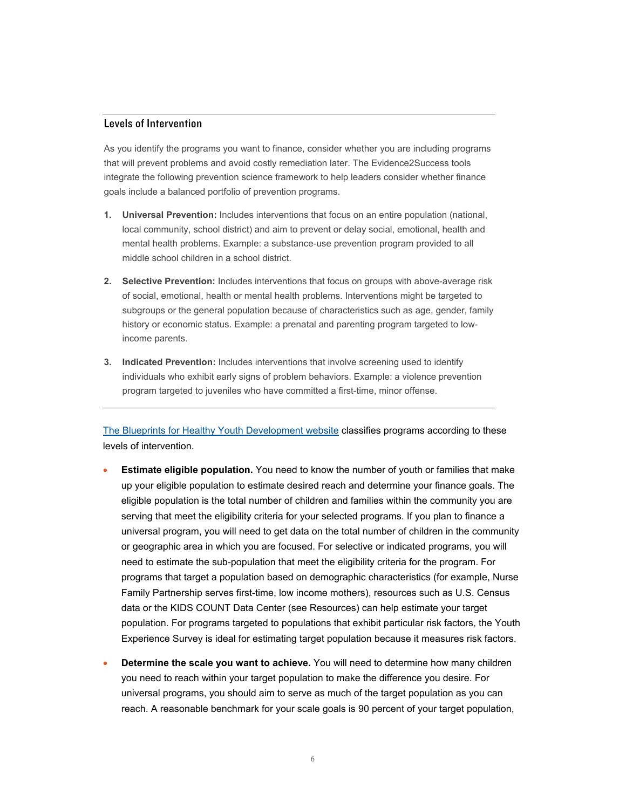# Levels of Intervention

As you identify the programs you want to finance, consider whether you are including programs that will prevent problems and avoid costly remediation later. The Evidence2Success tools integrate the following prevention science framework to help leaders consider whether finance goals include a balanced portfolio of prevention programs.

- **1. Universal Prevention:** Includes interventions that focus on an entire population (national, local community, school district) and aim to prevent or delay social, emotional, health and mental health problems. Example: a substance-use prevention program provided to all middle school children in a school district.
- **2. Selective Prevention:** Includes interventions that focus on groups with above-average risk of social, emotional, health or mental health problems. Interventions might be targeted to subgroups or the general population because of characteristics such as age, gender, family history or economic status. Example: a prenatal and parenting program targeted to lowincome parents.
- **3. Indicated Prevention:** Includes interventions that involve screening used to identify individuals who exhibit early signs of problem behaviors. Example: a violence prevention program targeted to juveniles who have committed a first-time, minor offense.

[The Blueprints for Healthy Youth Development website](http://www.blueprintsprograms.com/) classifies programs according to these levels of intervention.

- **Estimate eligible population.** You need to know the number of youth or families that make up your eligible population to estimate desired reach and determine your finance goals. The eligible population is the total number of children and families within the community you are serving that meet the eligibility criteria for your selected programs. If you plan to finance a universal program, you will need to get data on the total number of children in the community or geographic area in which you are focused. For selective or indicated programs, you will need to estimate the sub-population that meet the eligibility criteria for the program. For programs that target a population based on demographic characteristics (for example, Nurse Family Partnership serves first-time, low income mothers), resources such as U.S. Census data or the KIDS COUNT Data Center (see Resources) can help estimate your target population. For programs targeted to populations that exhibit particular risk factors, the Youth Experience Survey is ideal for estimating target population because it measures risk factors.
- **Determine the scale you want to achieve.** You will need to determine how many children you need to reach within your target population to make the difference you desire. For universal programs, you should aim to serve as much of the target population as you can reach. A reasonable benchmark for your scale goals is 90 percent of your target population,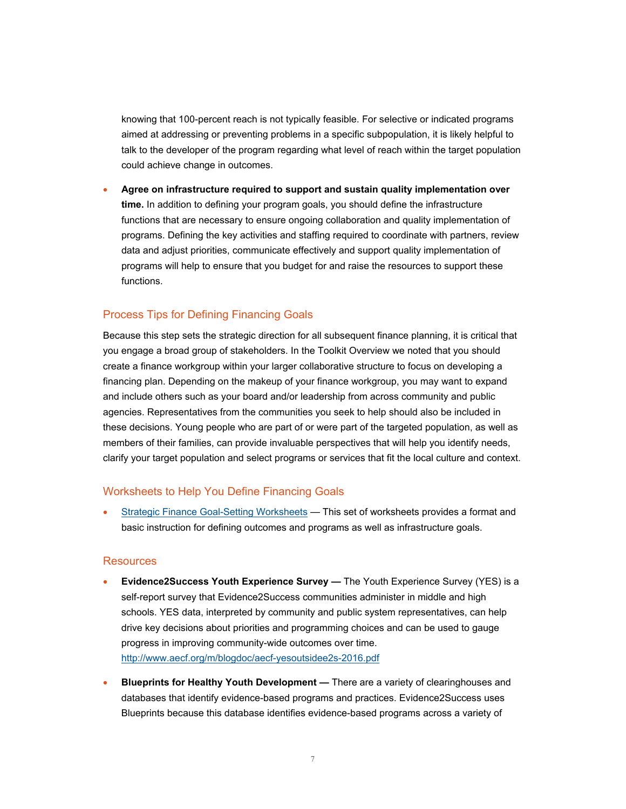knowing that 100-percent reach is not typically feasible. For selective or indicated programs aimed at addressing or preventing problems in a specific subpopulation, it is likely helpful to talk to the developer of the program regarding what level of reach within the target population could achieve change in outcomes.

 **Agree on infrastructure required to support and sustain quality implementation over time.** In addition to defining your program goals, you should define the infrastructure functions that are necessary to ensure ongoing collaboration and quality implementation of programs. Defining the key activities and staffing required to coordinate with partners, review data and adjust priorities, communicate effectively and support quality implementation of programs will help to ensure that you budget for and raise the resources to support these functions.

## Process Tips for Defining Financing Goals

Because this step sets the strategic direction for all subsequent finance planning, it is critical that you engage a broad group of stakeholders. In the Toolkit Overview we noted that you should create a finance workgroup within your larger collaborative structure to focus on developing a financing plan. Depending on the makeup of your finance workgroup, you may want to expand and include others such as your board and/or leadership from across community and public agencies. Representatives from the communities you seek to help should also be included in these decisions. Young people who are part of or were part of the targeted population, as well as members of their families, can provide invaluable perspectives that will help you identify needs, clarify your target population and select programs or services that fit the local culture and context.

#### Worksheets to Help You Define Financing Goals

 [Strategic Finance Goal-Setting Worksheets](http://www.aecf.org/m/resourcedoc/e2sf-step1-strategic-financing-goals-worksheets.docx) — This set of worksheets provides a format and basic instruction for defining outcomes and programs as well as infrastructure goals.

#### **Resources**

- **Evidence2Success Youth Experience Survey** The Youth Experience Survey (YES) is a self-report survey that Evidence2Success communities administer in middle and high schools. YES data, interpreted by community and public system representatives, can help drive key decisions about priorities and programming choices and can be used to gauge progress in improving community-wide outcomes over time. <http://www.aecf.org/m/blogdoc/aecf-yesoutsidee2s-2016.pdf>
- **Blueprints for Healthy Youth Development** There are a variety of clearinghouses and databases that identify evidence-based programs and practices. Evidence2Success uses Blueprints because this database identifies evidence-based programs across a variety of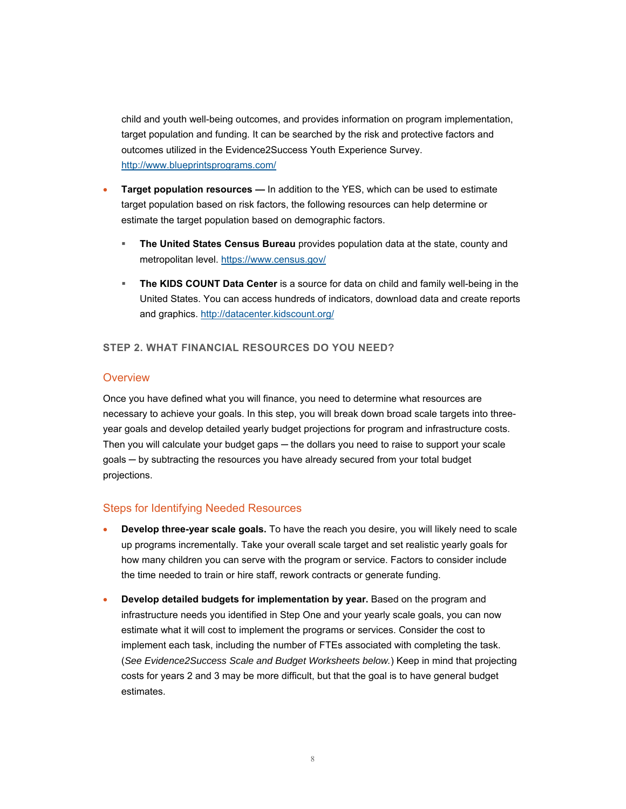child and youth well-being outcomes, and provides information on program implementation, target population and funding. It can be searched by the risk and protective factors and outcomes utilized in the Evidence2Success Youth Experience Survey. <http://www.blueprintsprograms.com/>

- **Target population resources —** In addition to the YES, which can be used to estimate target population based on risk factors, the following resources can help determine or estimate the target population based on demographic factors.
	- **The United States Census Bureau** provides population data at the state, county and metropolitan level.<https://www.census.gov/>
	- **The KIDS COUNT Data Center** is a source for data on child and family well-being in the United States. You can access hundreds of indicators, download data and create reports and graphics.<http://datacenter.kidscount.org/>

#### **STEP 2. WHAT FINANCIAL RESOURCES DO YOU NEED?**

#### **Overview**

Once you have defined what you will finance, you need to determine what resources are necessary to achieve your goals. In this step, you will break down broad scale targets into threeyear goals and develop detailed yearly budget projections for program and infrastructure costs. Then you will calculate your budget gaps — the dollars you need to raise to support your scale goals ─ by subtracting the resources you have already secured from your total budget projections.

#### Steps for Identifying Needed Resources

- **Develop three-year scale goals.** To have the reach you desire, you will likely need to scale up programs incrementally. Take your overall scale target and set realistic yearly goals for how many children you can serve with the program or service. Factors to consider include the time needed to train or hire staff, rework contracts or generate funding.
- **Develop detailed budgets for implementation by year.** Based on the program and infrastructure needs you identified in Step One and your yearly scale goals, you can now estimate what it will cost to implement the programs or services. Consider the cost to implement each task, including the number of FTEs associated with completing the task. (*See Evidence2Success Scale and Budget Worksheets below.*) Keep in mind that projecting costs for years 2 and 3 may be more difficult, but that the goal is to have general budget estimates.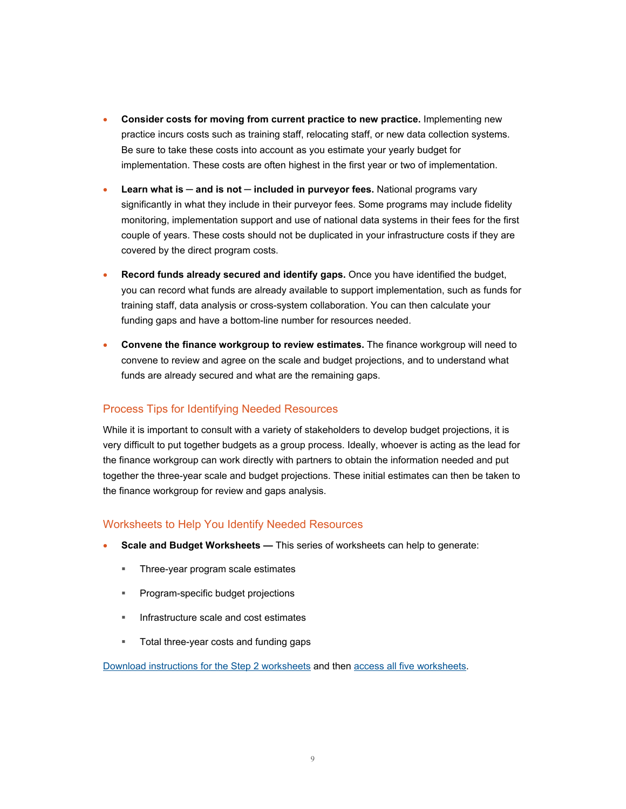- **Consider costs for moving from current practice to new practice.** Implementing new practice incurs costs such as training staff, relocating staff, or new data collection systems. Be sure to take these costs into account as you estimate your yearly budget for implementation. These costs are often highest in the first year or two of implementation.
- Learn what is and is not included in purveyor fees. National programs vary significantly in what they include in their purveyor fees. Some programs may include fidelity monitoring, implementation support and use of national data systems in their fees for the first couple of years. These costs should not be duplicated in your infrastructure costs if they are covered by the direct program costs.
- **Record funds already secured and identify gaps.** Once you have identified the budget, you can record what funds are already available to support implementation, such as funds for training staff, data analysis or cross-system collaboration. You can then calculate your funding gaps and have a bottom-line number for resources needed.
- **Convene the finance workgroup to review estimates.** The finance workgroup will need to convene to review and agree on the scale and budget projections, and to understand what funds are already secured and what are the remaining gaps.

# Process Tips for Identifying Needed Resources

While it is important to consult with a variety of stakeholders to develop budget projections, it is very difficult to put together budgets as a group process. Ideally, whoever is acting as the lead for the finance workgroup can work directly with partners to obtain the information needed and put together the three-year scale and budget projections. These initial estimates can then be taken to the finance workgroup for review and gaps analysis.

## Worksheets to Help You Identify Needed Resources

- **Scale and Budget Worksheets** This series of worksheets can help to generate:
	- Three-year program scale estimates
	- Program-specific budget projections
	- Infrastructure scale and cost estimates
	- Total three-year costs and funding gaps

[Download instructions for the Step 2 worksheets](http://www.aecf.org/m/resourcedoc/e2sf-step2-scale-and-budget-worksheet-instructions.docx) and then [access all five worksheets](http://www.aecf.org/m/resourcedoc/e2sf-step2-scale-and-budget-worksheet.xlsx).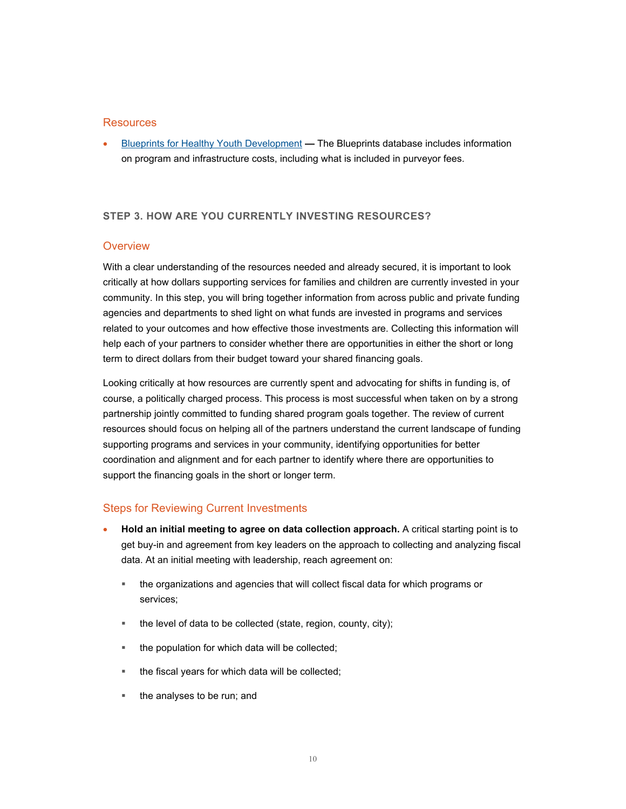#### **Resources**

 [Blueprints for Healthy Youth Development](http://www.blueprintsprograms.com/) **—** The Blueprints database includes information on program and infrastructure costs, including what is included in purveyor fees.

#### **STEP 3. HOW ARE YOU CURRENTLY INVESTING RESOURCES?**

#### **Overview**

With a clear understanding of the resources needed and already secured, it is important to look critically at how dollars supporting services for families and children are currently invested in your community. In this step, you will bring together information from across public and private funding agencies and departments to shed light on what funds are invested in programs and services related to your outcomes and how effective those investments are. Collecting this information will help each of your partners to consider whether there are opportunities in either the short or long term to direct dollars from their budget toward your shared financing goals.

Looking critically at how resources are currently spent and advocating for shifts in funding is, of course, a politically charged process. This process is most successful when taken on by a strong partnership jointly committed to funding shared program goals together. The review of current resources should focus on helping all of the partners understand the current landscape of funding supporting programs and services in your community, identifying opportunities for better coordination and alignment and for each partner to identify where there are opportunities to support the financing goals in the short or longer term.

#### Steps for Reviewing Current Investments

- **Hold an initial meeting to agree on data collection approach.** A critical starting point is to get buy-in and agreement from key leaders on the approach to collecting and analyzing fiscal data. At an initial meeting with leadership, reach agreement on:
	- the organizations and agencies that will collect fiscal data for which programs or services;
	- the level of data to be collected (state, region, county, city);
	- the population for which data will be collected;
	- the fiscal years for which data will be collected;
	- the analyses to be run; and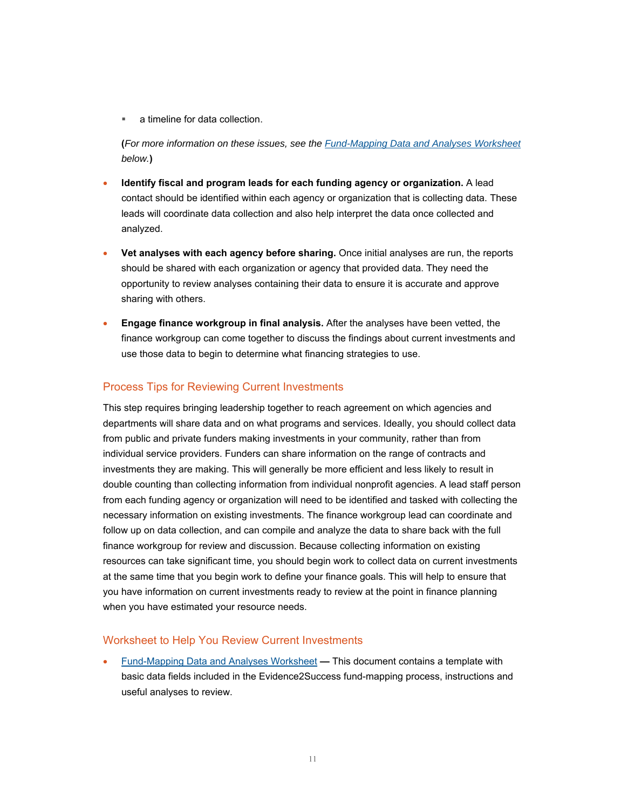a timeline for data collection.

**(***For more information on these issues, see the [Fund-Mapping Data and Analyses Worksheet](http://www.aecf.org/m/resourcedoc/e2sf-step3-fundmapping-worksheet.docx) below.***)** 

- **Identify fiscal and program leads for each funding agency or organization.** A lead contact should be identified within each agency or organization that is collecting data. These leads will coordinate data collection and also help interpret the data once collected and analyzed.
- **Vet analyses with each agency before sharing.** Once initial analyses are run, the reports should be shared with each organization or agency that provided data. They need the opportunity to review analyses containing their data to ensure it is accurate and approve sharing with others.
- **Engage finance workgroup in final analysis.** After the analyses have been vetted, the finance workgroup can come together to discuss the findings about current investments and use those data to begin to determine what financing strategies to use.

# Process Tips for Reviewing Current Investments

This step requires bringing leadership together to reach agreement on which agencies and departments will share data and on what programs and services. Ideally, you should collect data from public and private funders making investments in your community, rather than from individual service providers. Funders can share information on the range of contracts and investments they are making. This will generally be more efficient and less likely to result in double counting than collecting information from individual nonprofit agencies. A lead staff person from each funding agency or organization will need to be identified and tasked with collecting the necessary information on existing investments. The finance workgroup lead can coordinate and follow up on data collection, and can compile and analyze the data to share back with the full finance workgroup for review and discussion. Because collecting information on existing resources can take significant time, you should begin work to collect data on current investments at the same time that you begin work to define your finance goals. This will help to ensure that you have information on current investments ready to review at the point in finance planning when you have estimated your resource needs.

## Worksheet to Help You Review Current Investments

 [Fund-Mapping Data and Analyses Worksheet](http://www.aecf.org/m/resourcedoc/e2sf-step3-fundmapping-worksheet.docx) **—** This document contains a template with basic data fields included in the Evidence2Success fund-mapping process, instructions and useful analyses to review.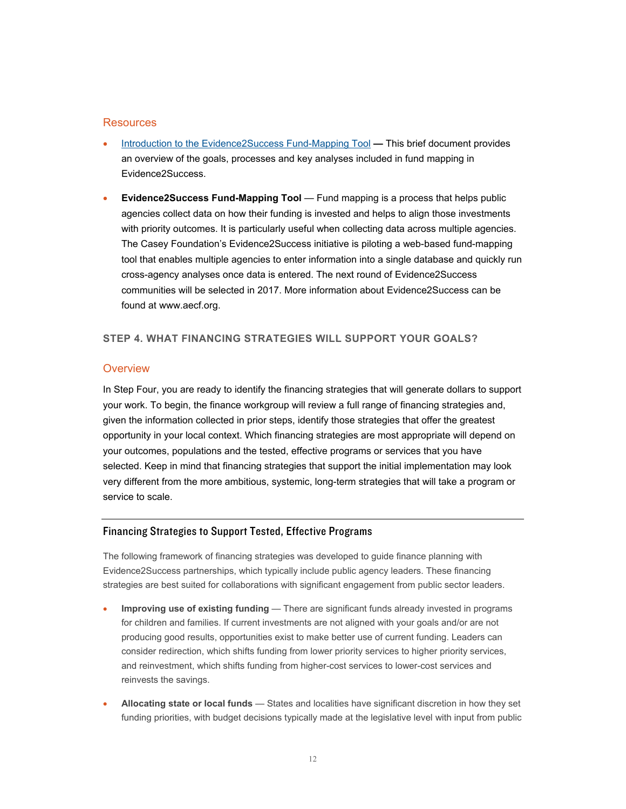#### **Resources**

- [Introduction to the Evidence2Success Fund-Mapping Tool](http://www.aecf.org/m/e2s/e2s-introduction-to-fund-mapping-tool.pdf)This brief document provides an overview of the goals, processes and key analyses included in fund mapping in Evidence2Success.
- **Evidence2Success Fund-Mapping Tool** Fund mapping is a process that helps public agencies collect data on how their funding is invested and helps to align those investments with priority outcomes. It is particularly useful when collecting data across multiple agencies. The Casey Foundation's Evidence2Success initiative is piloting a web-based fund-mapping tool that enables multiple agencies to enter information into a single database and quickly run cross-agency analyses once data is entered. The next round of Evidence2Success communities will be selected in 2017. More information about Evidence2Success can be found at www.aecf.org.

## **STEP 4. WHAT FINANCING STRATEGIES WILL SUPPORT YOUR GOALS?**

#### **Overview**

In Step Four, you are ready to identify the financing strategies that will generate dollars to support your work. To begin, the finance workgroup will review a full range of financing strategies and, given the information collected in prior steps, identify those strategies that offer the greatest opportunity in your local context. Which financing strategies are most appropriate will depend on your outcomes, populations and the tested, effective programs or services that you have selected. Keep in mind that financing strategies that support the initial implementation may look very different from the more ambitious, systemic, long-term strategies that will take a program or service to scale.

#### Financing Strategies to Support Tested, Effective Programs

The following framework of financing strategies was developed to guide finance planning with Evidence2Success partnerships, which typically include public agency leaders. These financing strategies are best suited for collaborations with significant engagement from public sector leaders.

- **Improving use of existing funding** There are significant funds already invested in programs for children and families. If current investments are not aligned with your goals and/or are not producing good results, opportunities exist to make better use of current funding. Leaders can consider redirection, which shifts funding from lower priority services to higher priority services, and reinvestment, which shifts funding from higher-cost services to lower-cost services and reinvests the savings.
- **Allocating state or local funds** States and localities have significant discretion in how they set funding priorities, with budget decisions typically made at the legislative level with input from public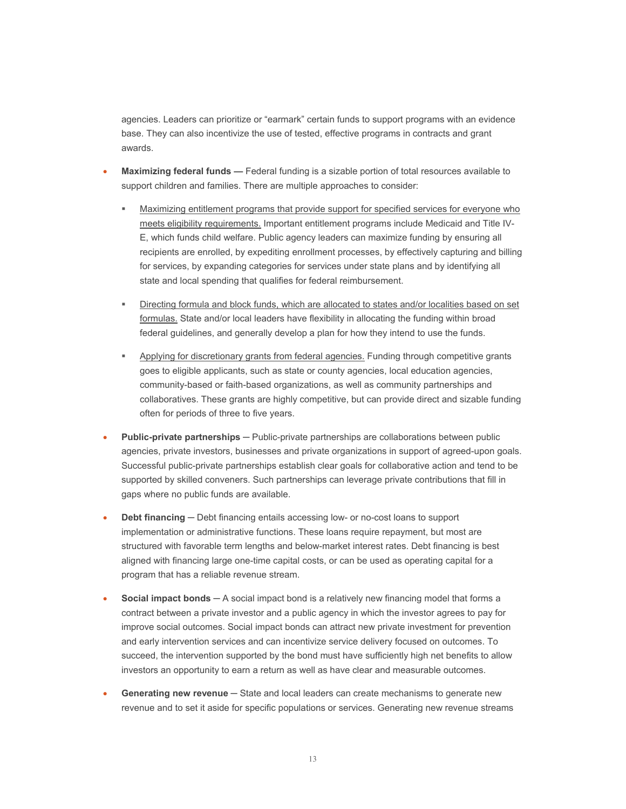agencies. Leaders can prioritize or "earmark" certain funds to support programs with an evidence base. They can also incentivize the use of tested, effective programs in contracts and grant awards.

- **Maximizing federal funds** Federal funding is a sizable portion of total resources available to support children and families. There are multiple approaches to consider:
	- Maximizing entitlement programs that provide support for specified services for everyone who meets eligibility requirements. Important entitlement programs include Medicaid and Title IV-E, which funds child welfare. Public agency leaders can maximize funding by ensuring all recipients are enrolled, by expediting enrollment processes, by effectively capturing and billing for services, by expanding categories for services under state plans and by identifying all state and local spending that qualifies for federal reimbursement.
	- Directing formula and block funds, which are allocated to states and/or localities based on set formulas. State and/or local leaders have flexibility in allocating the funding within broad federal guidelines, and generally develop a plan for how they intend to use the funds.
	- Applying for discretionary grants from federal agencies. Funding through competitive grants goes to eligible applicants, such as state or county agencies, local education agencies, community-based or faith-based organizations, as well as community partnerships and collaboratives. These grants are highly competitive, but can provide direct and sizable funding often for periods of three to five years.
- **Public-private partnerships** Public-private partnerships are collaborations between public agencies, private investors, businesses and private organizations in support of agreed-upon goals. Successful public-private partnerships establish clear goals for collaborative action and tend to be supported by skilled conveners. Such partnerships can leverage private contributions that fill in gaps where no public funds are available.
- **Debt financing Debt financing entails accessing low- or no-cost loans to support** implementation or administrative functions. These loans require repayment, but most are structured with favorable term lengths and below-market interest rates. Debt financing is best aligned with financing large one-time capital costs, or can be used as operating capital for a program that has a reliable revenue stream.
- **Social impact bonds** ─ A social impact bond is a relatively new financing model that forms a contract between a private investor and a public agency in which the investor agrees to pay for improve social outcomes. Social impact bonds can attract new private investment for prevention and early intervention services and can incentivize service delivery focused on outcomes. To succeed, the intervention supported by the bond must have sufficiently high net benefits to allow investors an opportunity to earn a return as well as have clear and measurable outcomes.
- **Generating new revenue** State and local leaders can create mechanisms to generate new revenue and to set it aside for specific populations or services. Generating new revenue streams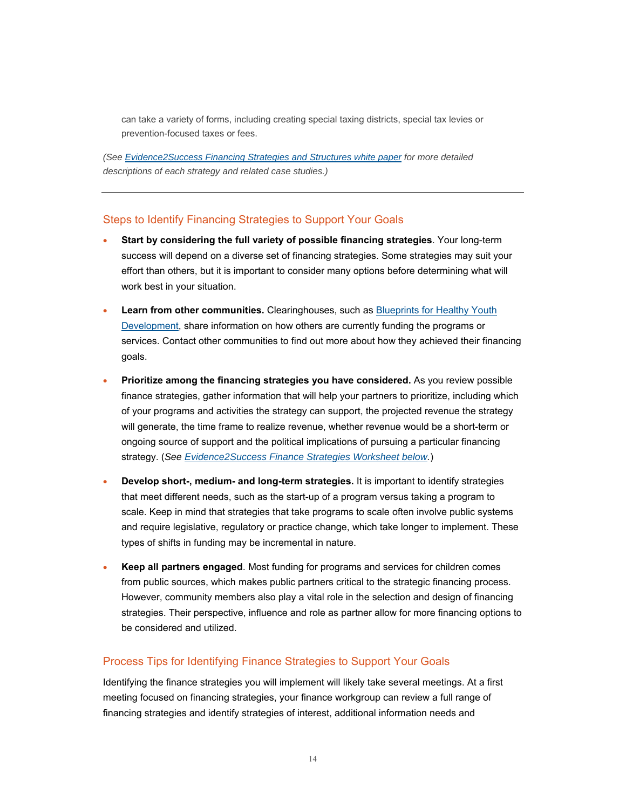can take a variety of forms, including creating special taxing districts, special tax levies or prevention-focused taxes or fees.

*(See [Evidence2Success Financing Strategies and Structures white paper](http://www.aecf.org/m/resourcedoc/AECF-FinancingStrategiesandStructures-2014.pdf) for more detailed descriptions of each strategy and related case studies.)* 

#### Steps to Identify Financing Strategies to Support Your Goals

- **Start by considering the full variety of possible financing strategies**. Your long-term success will depend on a diverse set of financing strategies. Some strategies may suit your effort than others, but it is important to consider many options before determining what will work best in your situation.
- **Learn from other communities.** Clearinghouses, such as Blueprints for Healthy Youth [Development, share information on how others are currently funding the programs or](http://www.blueprintsprograms.com/)  services. Contact other communities to find out more about how they achieved their financing goals.
- **Prioritize among the financing strategies you have considered.** As you review possible finance strategies, gather information that will help your partners to prioritize, including which of your programs and activities the strategy can support, the projected revenue the strategy will generate, the time frame to realize revenue, whether revenue would be a short-term or ongoing source of support and the political implications of pursuing a particular financing strategy. (*See [Evidence2Success Finance Strategies Worksheet below.](http://www.aecf.org/m/resourcedoc/e2sf-step4-financing-strategies-worksheets.docx)*)
- **Develop short-, medium- and long-term strategies.** It is important to identify strategies that meet different needs, such as the start-up of a program versus taking a program to scale. Keep in mind that strategies that take programs to scale often involve public systems and require legislative, regulatory or practice change, which take longer to implement. These types of shifts in funding may be incremental in nature.
- **Keep all partners engaged**. Most funding for programs and services for children comes from public sources, which makes public partners critical to the strategic financing process. However, community members also play a vital role in the selection and design of financing strategies. Their perspective, influence and role as partner allow for more financing options to be considered and utilized.

#### Process Tips for Identifying Finance Strategies to Support Your Goals

Identifying the finance strategies you will implement will likely take several meetings. At a first meeting focused on financing strategies, your finance workgroup can review a full range of financing strategies and identify strategies of interest, additional information needs and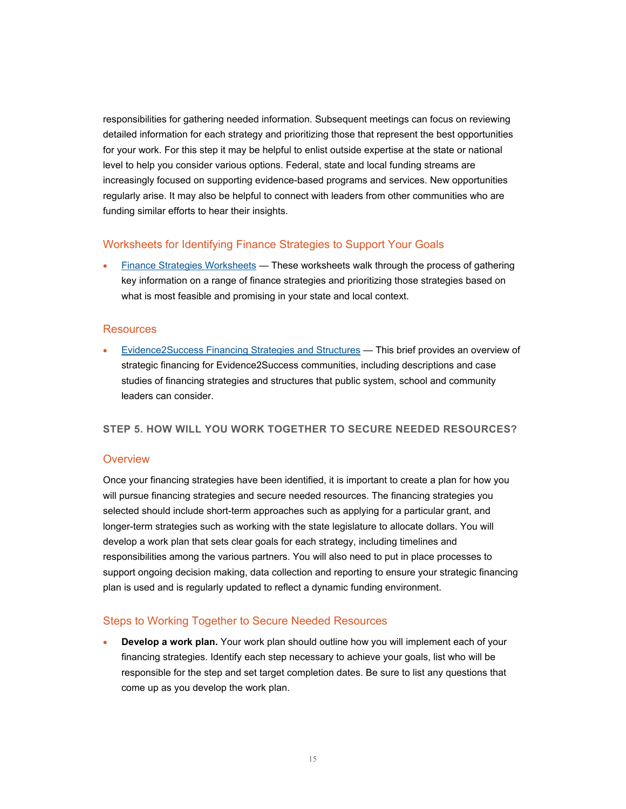responsibilities for gathering needed information. Subsequent meetings can focus on reviewing detailed information for each strategy and prioritizing those that represent the best opportunities for your work. For this step it may be helpful to enlist outside expertise at the state or national level to help you consider various options. Federal, state and local funding streams are increasingly focused on supporting evidence-based programs and services. New opportunities regularly arise. It may also be helpful to connect with leaders from other communities who are funding similar efforts to hear their insights.

#### Worksheets for Identifying Finance Strategies to Support Your Goals

 [Finance Strategies Worksheets](http://www.aecf.org/m/resourcedoc/e2sf-step4-financing-strategies-worksheets.docx) *—* These worksheets walk through the process of gathering key information on a range of finance strategies and prioritizing those strategies based on what is most feasible and promising in your state and local context.

#### **Resources**

 [Evidence2Success Financing Strategies and Structures](http://www.aecf.org/m/resourcedoc/AECF-FinancingStrategiesandStructures-2014.pdf) *—* This brief provides an overview of strategic financing for Evidence2Success communities, including descriptions and case studies of financing strategies and structures that public system, school and community leaders can consider.

#### **STEP 5. HOW WILL YOU WORK TOGETHER TO SECURE NEEDED RESOURCES?**

#### **Overview**

Once your financing strategies have been identified, it is important to create a plan for how you will pursue financing strategies and secure needed resources. The financing strategies you selected should include short-term approaches such as applying for a particular grant, and longer-term strategies such as working with the state legislature to allocate dollars. You will develop a work plan that sets clear goals for each strategy, including timelines and responsibilities among the various partners. You will also need to put in place processes to support ongoing decision making, data collection and reporting to ensure your strategic financing plan is used and is regularly updated to reflect a dynamic funding environment.

#### Steps to Working Together to Secure Needed Resources

 **Develop a work plan.** Your work plan should outline how you will implement each of your financing strategies. Identify each step necessary to achieve your goals, list who will be responsible for the step and set target completion dates. Be sure to list any questions that come up as you develop the work plan.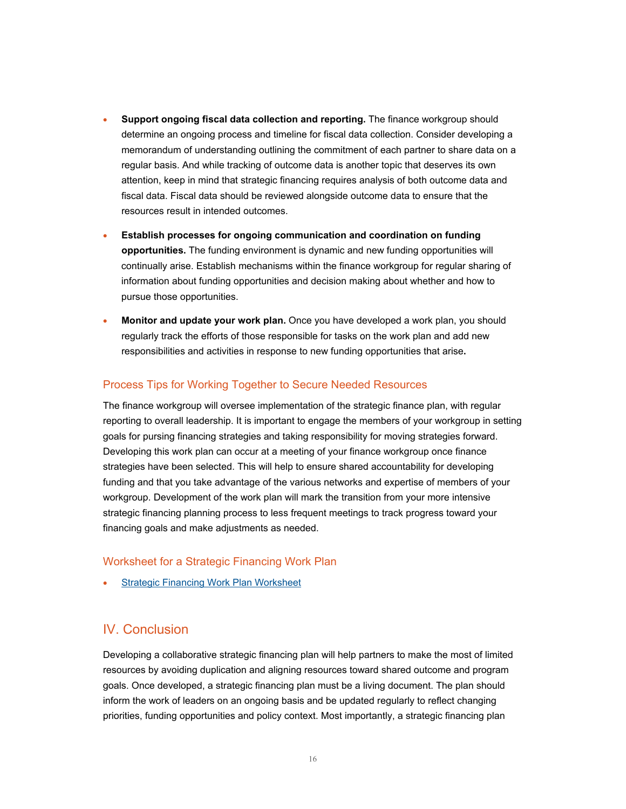- **Support ongoing fiscal data collection and reporting.** The finance workgroup should determine an ongoing process and timeline for fiscal data collection. Consider developing a memorandum of understanding outlining the commitment of each partner to share data on a regular basis. And while tracking of outcome data is another topic that deserves its own attention, keep in mind that strategic financing requires analysis of both outcome data and fiscal data. Fiscal data should be reviewed alongside outcome data to ensure that the resources result in intended outcomes.
- **Establish processes for ongoing communication and coordination on funding opportunities.** The funding environment is dynamic and new funding opportunities will continually arise. Establish mechanisms within the finance workgroup for regular sharing of information about funding opportunities and decision making about whether and how to pursue those opportunities.
- **Monitor and update your work plan.** Once you have developed a work plan, you should regularly track the efforts of those responsible for tasks on the work plan and add new responsibilities and activities in response to new funding opportunities that arise**.**

## Process Tips for Working Together to Secure Needed Resources

The finance workgroup will oversee implementation of the strategic finance plan, with regular reporting to overall leadership. It is important to engage the members of your workgroup in setting goals for pursing financing strategies and taking responsibility for moving strategies forward. Developing this work plan can occur at a meeting of your finance workgroup once finance strategies have been selected. This will help to ensure shared accountability for developing funding and that you take advantage of the various networks and expertise of members of your workgroup. Development of the work plan will mark the transition from your more intensive strategic financing planning process to less frequent meetings to track progress toward your financing goals and make adjustments as needed.

## Worksheet for a Strategic Financing Work Plan

[Strategic Financing Work Plan Worksheet](http://www.aecf.org/m/resourcedoc/e2sf-step5-strategic-financing-workplan-worksheet.docx) 

# IV. Conclusion

Developing a collaborative strategic financing plan will help partners to make the most of limited resources by avoiding duplication and aligning resources toward shared outcome and program goals. Once developed, a strategic financing plan must be a living document. The plan should inform the work of leaders on an ongoing basis and be updated regularly to reflect changing priorities, funding opportunities and policy context. Most importantly, a strategic financing plan